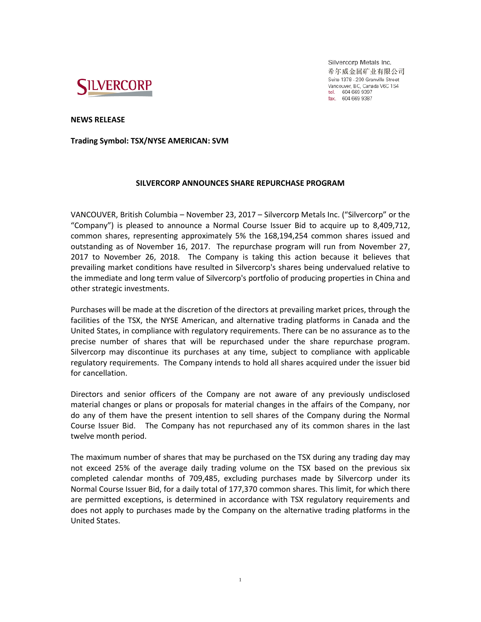

Silvercorp Metals Inc. 希尔威金属矿业有限公司 Suite 1378 - 200 Granville Street Vancouver, BC, Canada V6C 1S4 tel. 604 669 9397<br>fax. 604 669 9397

**NEWS RELEASE**

**Trading Symbol: TSX/NYSE AMERICAN: SVM**

## **SILVERCORP ANNOUNCES SHARE REPURCHASE PROGRAM**

VANCOUVER, British Columbia – November 23, 2017 – Silvercorp Metals Inc. ("Silvercorp" or the "Company") is pleased to announce a Normal Course Issuer Bid to acquire up to 8,409,712, common shares, representing approximately 5% the 168,194,254 common shares issued and outstanding as of November 16, 2017. The repurchase program will run from November 27, 2017 to November 26, 2018. The Company is taking this action because it believes that prevailing market conditions have resulted in Silvercorp's shares being undervalued relative to the immediate and long term value of Silvercorp's portfolio of producing properties in China and other strategic investments.

Purchases will be made at the discretion of the directors at prevailing market prices, through the facilities of the TSX, the NYSE American, and alternative trading platforms in Canada and the United States, in compliance with regulatory requirements. There can be no assurance as to the precise number of shares that will be repurchased under the share repurchase program. Silvercorp may discontinue its purchases at any time, subject to compliance with applicable regulatory requirements. The Company intends to hold all shares acquired under the issuer bid for cancellation.

Directors and senior officers of the Company are not aware of any previously undisclosed material changes or plans or proposals for material changes in the affairs of the Company, nor do any of them have the present intention to sell shares of the Company during the Normal Course Issuer Bid. The Company has not repurchased any of its common shares in the last twelve month period.

The maximum number of shares that may be purchased on the TSX during any trading day may not exceed 25% of the average daily trading volume on the TSX based on the previous six completed calendar months of 709,485, excluding purchases made by Silvercorp under its Normal Course Issuer Bid, for a daily total of 177,370 common shares. This limit, for which there are permitted exceptions, is determined in accordance with TSX regulatory requirements and does not apply to purchases made by the Company on the alternative trading platforms in the United States.